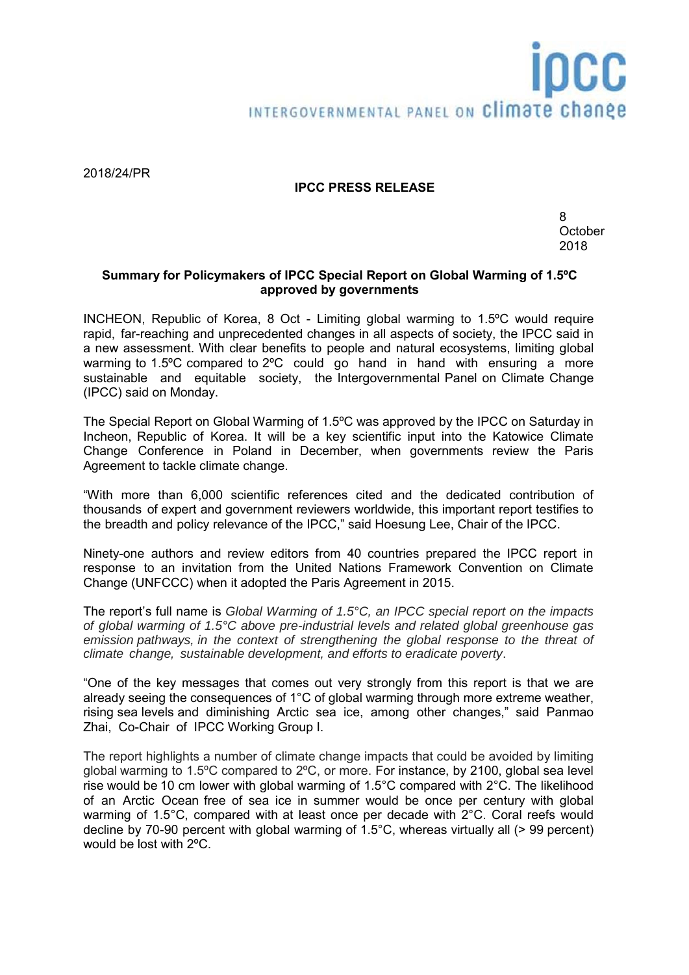# INTERGOVERNMENTAL PANEL ON Climate change

2018/24/PR

# **IPCC PRESS RELEASE**

8 **October** 2018

# **Summary for Policymakers of IPCC Special Report on Global Warming of 1.5ºC approved by governments**

INCHEON, Republic of Korea, 8 Oct - Limiting global warming to 1.5ºC would require rapid, far-reaching and unprecedented changes in all aspects of society, the IPCC said in a new assessment. With clear benefits to people and natural ecosystems, limiting global warming to 1.5°C compared to 2°C could go hand in hand with ensuring a more sustainable and equitable society, the Intergovernmental Panel on Climate Change (IPCC) said on Monday.

The Special Report on Global Warming of 1.5ºC was approved by the IPCC on Saturday in Incheon, Republic of Korea. It will be a key scientific input into the Katowice Climate Change Conference in Poland in December, when governments review the Paris Agreement to tackle climate change.

"With more than 6,000 scientific references cited and the dedicated contribution of thousands of expert and government reviewers worldwide, this important report testifies to the breadth and policy relevance of the IPCC," said Hoesung Lee, Chair of the IPCC.

Ninety-one authors and review editors from 40 countries prepared the IPCC report in response to an invitation from the United Nations Framework Convention on Climate Change (UNFCCC) when it adopted the Paris Agreement in 2015.

The report's full name is *Global Warming of 1.5°C, an IPCC special report on the impacts of global warming of 1.5°C above pre-industrial levels and related global greenhouse gas emission pathways, in the context of strengthening the global response to the threat of climate change, sustainable development, and efforts to eradicate poverty*.

"One of the key messages that comes out very strongly from this report is that we are already seeing the consequences of 1°C of global warming through more extreme weather, rising sea levels and diminishing Arctic sea ice, among other changes," said Panmao Zhai, Co-Chair of IPCC Working Group I.

The report highlights a number of climate change impacts that could be avoided by limiting global warming to 1.5ºC compared to 2ºC, or more. For instance, by 2100, global sea level rise would be 10 cm lower with global warming of 1.5°C compared with 2°C. The likelihood of an Arctic Ocean free of sea ice in summer would be once per century with global warming of 1.5°C, compared with at least once per decade with 2°C. Coral reefs would decline by 70-90 percent with global warming of 1.5°C, whereas virtually all (> 99 percent) would be lost with 2ºC.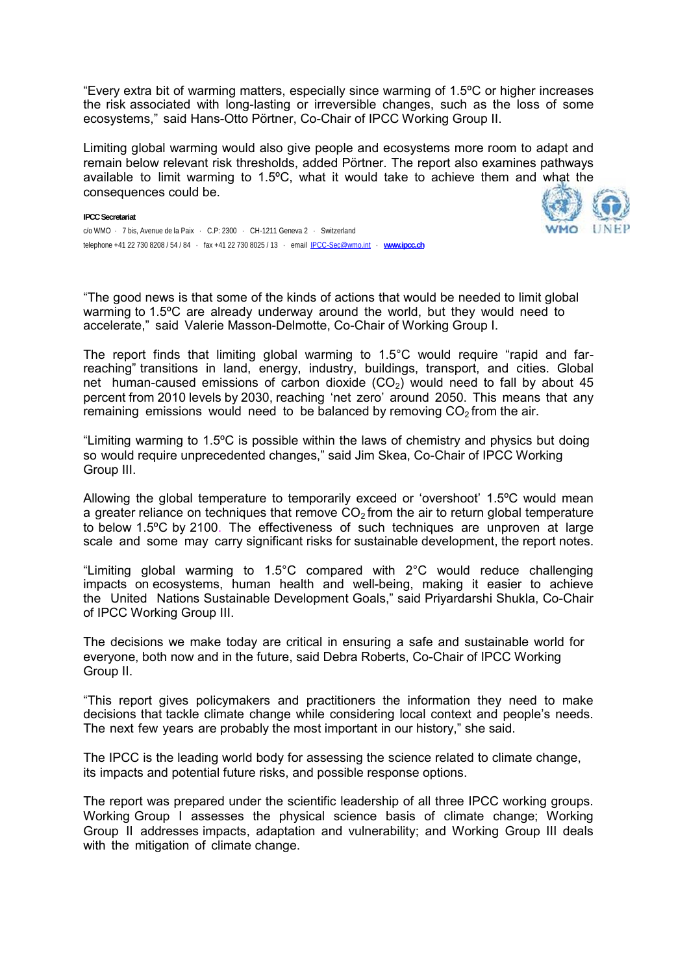"Every extra bit of warming matters, especially since warming of 1.5ºC or higher increases the risk associated with long-lasting or irreversible changes, such as the loss of some ecosystems," said Hans-Otto Pörtner, Co-Chair of IPCC Working Group II.

Limiting global warming would also give people and ecosystems more room to adapt and remain below relevant risk thresholds, added Pörtner. The report also examines pathways available to limit warming to 1.5ºC, what it would take to achieve them and what the consequences could be.



**IPCC Secretariat**  c/o WMO · 7 bis, Avenue de la Paix · C.P: 2300 · CH-1211 Geneva 2 · Switzerland telephone +41 22 730 8208 / 54 / 84 · fax +41 22 730 8025 / 13 · email IPCC-Sec@wmo.int · **www.ipcc.ch**

"The good news is that some of the kinds of actions that would be needed to limit global warming to 1.5ºC are already underway around the world, but they would need to accelerate," said Valerie Masson-Delmotte, Co-Chair of Working Group I.

The report finds that limiting global warming to 1.5°C would require "rapid and farreaching" transitions in land, energy, industry, buildings, transport, and cities. Global net human-caused emissions of carbon dioxide  $(CO<sub>2</sub>)$  would need to fall by about 45 percent from 2010 levels by 2030, reaching 'net zero' around 2050. This means that any remaining emissions would need to be balanced by removing  $CO<sub>2</sub>$  from the air.

"Limiting warming to 1.5ºC is possible within the laws of chemistry and physics but doing so would require unprecedented changes," said Jim Skea, Co-Chair of IPCC Working Group III.

Allowing the global temperature to temporarily exceed or 'overshoot' 1.5ºC would mean a greater reliance on techniques that remove  $CO<sub>2</sub>$  from the air to return global temperature to below 1.5ºC by 2100. The effectiveness of such techniques are unproven at large scale and some may carry significant risks for sustainable development, the report notes.

"Limiting global warming to 1.5°C compared with 2°C would reduce challenging impacts on ecosystems, human health and well-being, making it easier to achieve the United Nations Sustainable Development Goals," said Priyardarshi Shukla, Co-Chair of IPCC Working Group III.

The decisions we make today are critical in ensuring a safe and sustainable world for everyone, both now and in the future, said Debra Roberts, Co-Chair of IPCC Working Group II.

"This report gives policymakers and practitioners the information they need to make decisions that tackle climate change while considering local context and people's needs. The next few years are probably the most important in our history," she said.

The IPCC is the leading world body for assessing the science related to climate change, its impacts and potential future risks, and possible response options.

The report was prepared under the scientific leadership of all three IPCC working groups. Working Group I assesses the physical science basis of climate change; Working Group II addresses impacts, adaptation and vulnerability; and Working Group III deals with the mitigation of climate change.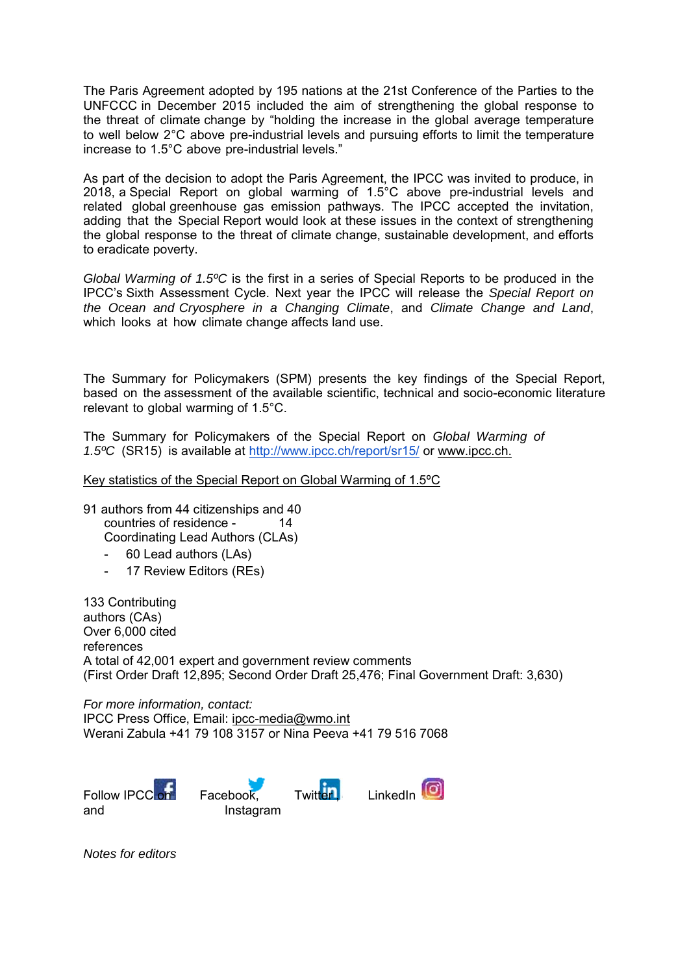The Paris Agreement adopted by 195 nations at the 21st Conference of the Parties to the UNFCCC in December 2015 included the aim of strengthening the global response to the threat of climate change by "holding the increase in the global average temperature to well below 2°C above pre-industrial levels and pursuing efforts to limit the temperature increase to 1.5°C above pre-industrial levels."

As part of the decision to adopt the Paris Agreement, the IPCC was invited to produce, in 2018, a Special Report on global warming of 1.5°C above pre-industrial levels and related global greenhouse gas emission pathways. The IPCC accepted the invitation, adding that the Special Report would look at these issues in the context of strengthening the global response to the threat of climate change, sustainable development, and efforts to eradicate poverty.

*Global Warming of 1.5ºC* is the first in a series of Special Reports to be produced in the IPCC's Sixth Assessment Cycle. Next year the IPCC will release the *Special Report on the Ocean and Cryosphere in a Changing Climate*, and *Climate Change and Land*, which looks at how climate change affects land use.

The Summary for Policymakers (SPM) presents the key findings of the Special Report, based on the assessment of the available scientific, technical and socio-economic literature relevant to global warming of 1.5°C.

The Summary for Policymakers of the Special Report on *Global Warming of 1.5ºC* (SR15) is available at http://www.ipcc.ch/report/sr15/ or www.ipcc.ch.

### Key statistics of the Special Report on Global Warming of 1.5ºC

- 91 authors from 44 citizenships and 40 countries of residence - 14 Coordinating Lead Authors (CLAs)
	- 60 Lead authors (LAs)
	- 17 Review Editors (REs)

133 Contributing authors (CAs) Over 6,000 cited references A total of 42,001 expert and government review comments (First Order Draft 12,895; Second Order Draft 25,476; Final Government Draft: 3,630)

*For more information, contact:*  IPCC Press Office, Email: ipcc-media@wmo.int Werani Zabula +41 79 108 3157 or Nina Peeva +41 79 516 7068

and Instagram





*Notes for editors*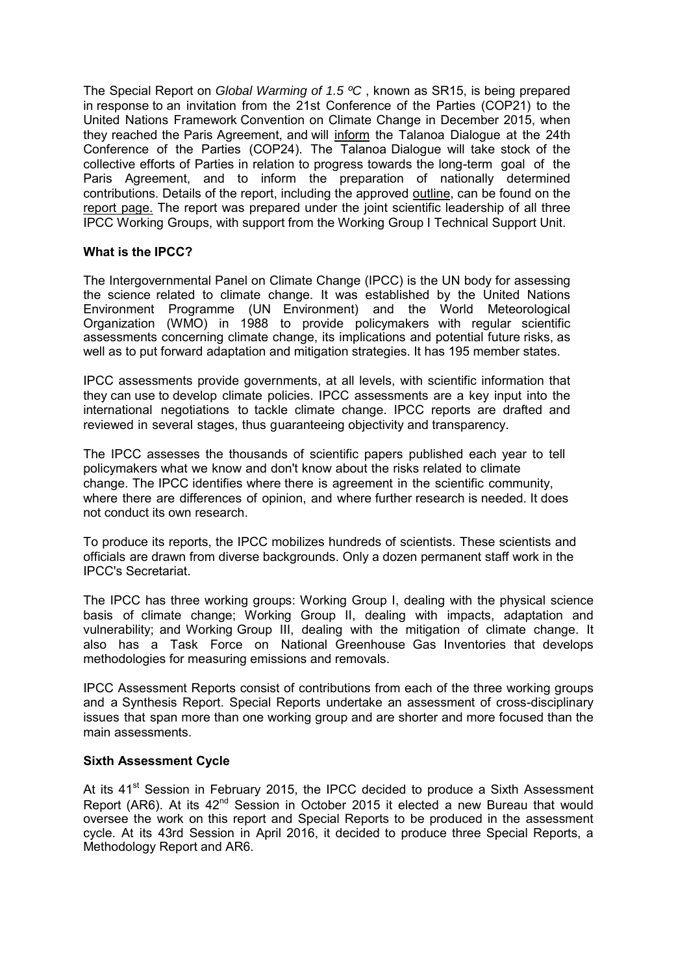The Special Report on *Global Warming of 1.5 ºC* , known as SR15, is being prepared in response to an invitation from the 21st Conference of the Parties (COP21) to the United Nations Framework Convention on Climate Change in December 2015, when they reached the Paris Agreement, and will inform the Talanoa Dialogue at the 24th Conference of the Parties (COP24). The Talanoa Dialogue will take stock of the collective efforts of Parties in relation to progress towards the long-term goal of the Paris Agreement, and to inform the preparation of nationally determined contributions. Details of the report, including the approved outline, can be found on the report page. The report was prepared under the joint scientific leadership of all three IPCC Working Groups, with support from the Working Group I Technical Support Unit.

## **What is the IPCC?**

The Intergovernmental Panel on Climate Change (IPCC) is the UN body for assessing the science related to climate change. It was established by the United Nations Environment Programme (UN Environment) and the World Meteorological Organization (WMO) in 1988 to provide policymakers with regular scientific assessments concerning climate change, its implications and potential future risks, as well as to put forward adaptation and mitigation strategies. It has 195 member states.

IPCC assessments provide governments, at all levels, with scientific information that they can use to develop climate policies. IPCC assessments are a key input into the international negotiations to tackle climate change. IPCC reports are drafted and reviewed in several stages, thus guaranteeing objectivity and transparency.

The IPCC assesses the thousands of scientific papers published each year to tell policymakers what we know and don't know about the risks related to climate change. The IPCC identifies where there is agreement in the scientific community, where there are differences of opinion, and where further research is needed. It does not conduct its own research.

To produce its reports, the IPCC mobilizes hundreds of scientists. These scientists and officials are drawn from diverse backgrounds. Only a dozen permanent staff work in the IPCC's Secretariat.

The IPCC has three working groups: Working Group I, dealing with the physical science basis of climate change; Working Group II, dealing with impacts, adaptation and vulnerability; and Working Group III, dealing with the mitigation of climate change. It also has a Task Force on National Greenhouse Gas Inventories that develops methodologies for measuring emissions and removals.

IPCC Assessment Reports consist of contributions from each of the three working groups and a Synthesis Report. Special Reports undertake an assessment of cross-disciplinary issues that span more than one working group and are shorter and more focused than the main assessments.

### **Sixth Assessment Cycle**

At its  $41<sup>st</sup>$  Session in February 2015, the IPCC decided to produce a Sixth Assessment Report (AR6). At its  $42^{nd}$  Session in October 2015 it elected a new Bureau that would oversee the work on this report and Special Reports to be produced in the assessment cycle. At its 43rd Session in April 2016, it decided to produce three Special Reports, a Methodology Report and AR6.